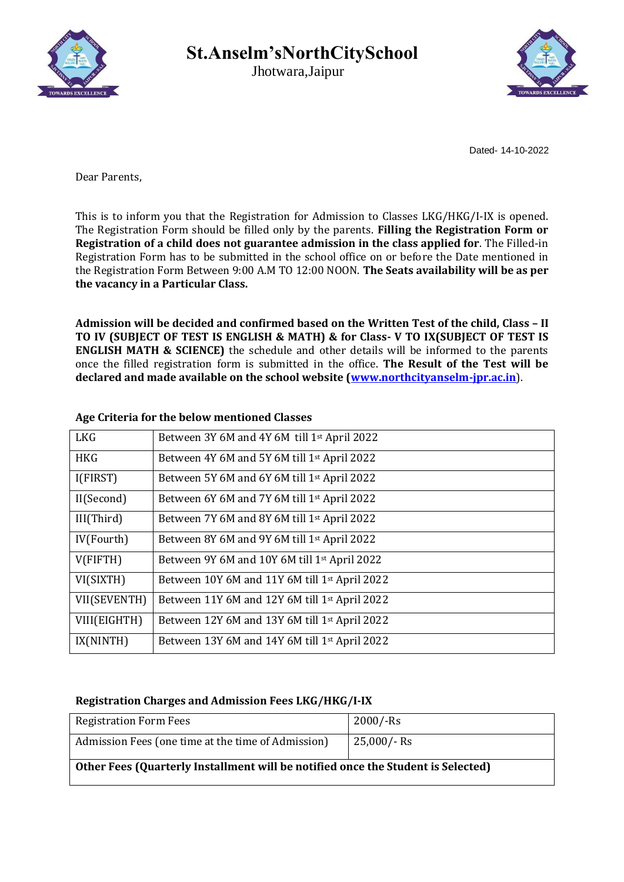

**St.Anselm'sNorthCitySchool**

Jhotwara,Jaipur



Dated- 14-10-2022

Dear Parents,

This is to inform you that the Registration for Admission to Classes LKG/HKG/I-IX is opened. The Registration Form should be filled only by the parents. **Filling the Registration Form or Registration of a child does not guarantee admission in the class applied for**. The Filled-in Registration Form has to be submitted in the school office on or before the Date mentioned in the Registration Form Between 9:00 A.M TO 12:00 NOON. **The Seats availability will be as per the vacancy in a Particular Class.**

**Admission will be decided and confirmed based on the Written Test of the child, Class – II TO IV (SUBJECT OF TEST IS ENGLISH & MATH) & for Class- V TO IX(SUBJECT OF TEST IS ENGLISH MATH & SCIENCE)** the schedule and other details will be informed to the parents once the filled registration form is submitted in the office. **The Result of the Test will be declared and made available on the school website [\(www.northcityanselm-jpr.ac.in](http://www.northcityanselm-jpr.ac.in/)**).

| <b>LKG</b>   | Between 3Y 6M and 4Y 6M till 1st April 2022               |
|--------------|-----------------------------------------------------------|
| <b>HKG</b>   | Between 4Y 6M and 5Y 6M till 1 <sup>st</sup> April 2022   |
| I(FIRST)     | Between 5Y 6M and 6Y 6M till 1st April 2022               |
| II(Second)   | Between 6Y 6M and 7Y 6M till 1 <sup>st</sup> April 2022   |
| III(Third)   | Between 7Y 6M and 8Y 6M till 1 <sup>st</sup> April 2022   |
| IV(Fourth)   | Between 8Y 6M and 9Y 6M till 1 <sup>st</sup> April 2022   |
| $V$ (FIFTH)  | Between 9Y 6M and 10Y 6M till 1 <sup>st</sup> April 2022  |
| VI(SIXTH)    | Between 10Y 6M and 11Y 6M till 1 <sup>st</sup> April 2022 |
| VII(SEVENTH) | Between 11Y 6M and 12Y 6M till 1 <sup>st</sup> April 2022 |
| VIII(EIGHTH) | Between 12Y 6M and 13Y 6M till 1 <sup>st</sup> April 2022 |
| IX(NINTH)    | Between 13Y 6M and 14Y 6M till 1st April 2022             |

### **Age Criteria for the below mentioned Classes**

### **Registration Charges and Admission Fees LKG/HKG/I-IX**

| <b>Registration Form Fees</b>                                                    | 2000/-Rs    |  |
|----------------------------------------------------------------------------------|-------------|--|
| Admission Fees (one time at the time of Admission)                               | 25,000/- Rs |  |
| Other Fees (Quarterly Installment will be notified once the Student is Selected) |             |  |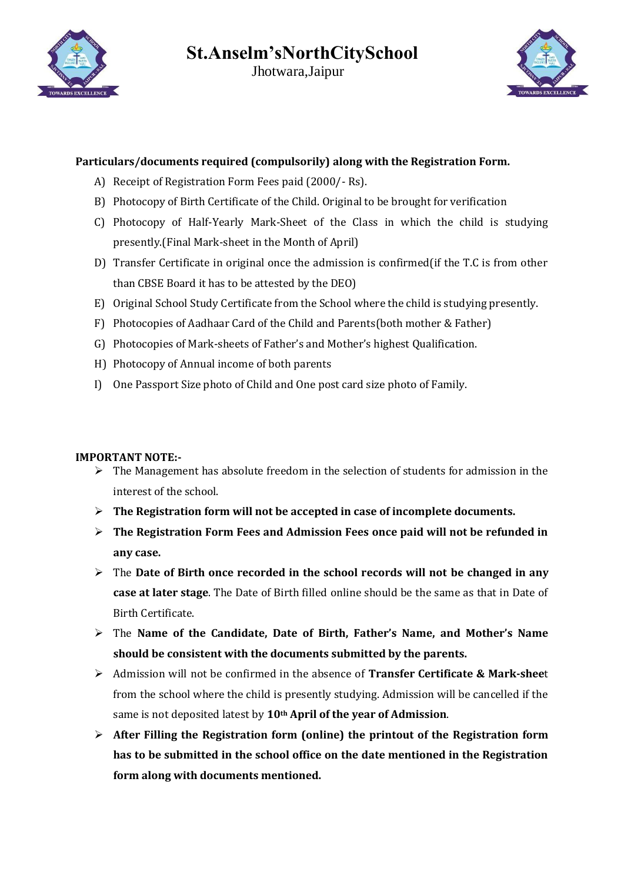

Jhotwara,Jaipur



## **Particulars/documents required (compulsorily) along with the Registration Form.**

- A) Receipt of Registration Form Fees paid (2000/- Rs).
- B) Photocopy of Birth Certificate of the Child. Original to be brought for verification
- C) Photocopy of Half-Yearly Mark-Sheet of the Class in which the child is studying presently.(Final Mark-sheet in the Month of April)
- D) Transfer Certificate in original once the admission is confirmed(if the T.C is from other than CBSE Board it has to be attested by the DEO)
- E) Original School Study Certificate from the School where the child is studying presently.
- F) Photocopies of Aadhaar Card of the Child and Parents(both mother & Father)
- G) Photocopies of Mark-sheets of Father's and Mother's highest Qualification.
- H) Photocopy of Annual income of both parents
- I) One Passport Size photo of Child and One post card size photo of Family.

### **IMPORTANT NOTE:-**

- The Management has absolute freedom in the selection of students for admission in the interest of the school.
- **The Registration form will not be accepted in case of incomplete documents.**
- **The Registration Form Fees and Admission Fees once paid will not be refunded in any case.**
- The **Date of Birth once recorded in the school records will not be changed in any case at later stage**. The Date of Birth filled online should be the same as that in Date of Birth Certificate.
- The **Name of the Candidate, Date of Birth, Father's Name, and Mother's Name should be consistent with the documents submitted by the parents.**
- Admission will not be confirmed in the absence of **Transfer Certificate & Mark-shee**t from the school where the child is presently studying. Admission will be cancelled if the same is not deposited latest by **10th April of the year of Admission**.
- **After Filling the Registration form (online) the printout of the Registration form has to be submitted in the school office on the date mentioned in the Registration form along with documents mentioned.**